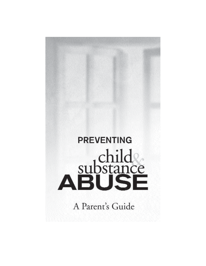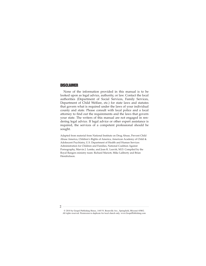# **DISCLAIMER**

None of the information provided in this manual is to be looked upon as legal advice, authority, or law. Contact the local authorities (Department of Social Services, Family Services, Department of Child Welfare, etc.) for state laws and statutes that govern what is required under the laws of your individual county and state. Please consult with local police and a local attorney to find out the requirements and the laws that govern your state. The writers of this manual are not engaged in rendering legal advice. If legal advice or other expert assistance is required, the services of a competent professional should be sought.

Adapted from material from National Institute on Drug Abuse, Prevent Child Abuse America, Children's Rights of America, American Academy of Child & Adolescent Psychiatry, U.S. Department of Health and Human Services Administration for Children and Families, National Coalition Against Pornography, Marvin J. Lemke, and Joan K. Leavitt, M.D. Compiled by the Royal Rangers ministry team: Richard Mariott, Mike Laliberty and Brian Hendrickson.

2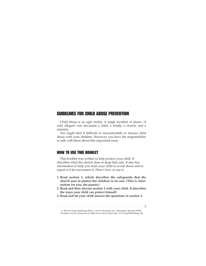# GUIDELINES FOR CHILD ABUSE PREVENTION

Child abuse is an ugly reality. A single incident of abuse—if only alleged—can devastate a child, a family, a church, and a ministry.

You might find it difficult or uncomfortable to discuss child abuse with your children. However, you have the responsibility to talk with them about this important issue.

# HOW TO USE THIS BOOKLET

This booklet was written to help protect your child. It describes what the church does to keep him safe. It also has information to help you train your child to avoid abuse and to report it if he encounters it. Here's how to use it:

- **1. Read section 1, which describes the safeguards that the church uses to protect the children in its care. (This is information for you, the parent.)**
- **2. Read and then discuss section 2 with your child. It describes the ways your child can protect himself.**
- **3. Read and let your child answer the questions in section 3.**

<sup>© 2010</sup> by Gospel Publishing House, 1445 N. Boonville Ave., Springfield, Missouri 65802. All rights reserved. Permission to duplicate for local church only. www.GospelPublishing.com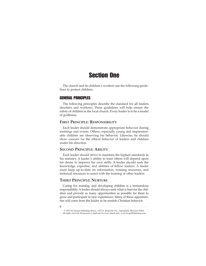# Section One

The church and its children's workers use the following guidelines to protect children.

# GENERAL PRINCIPLES

The following principles describe the standard for all leaders (teachers and workers). These guidelines will help ensure the safety of children in the local church. Every leader is to be a model of godliness.

# **FIRST PRINCIPLE: RESPONSIBILITY**

Each leader should demonstrate appropriate behavior during meetings and events. Others, especially young and impressionable children are observing his behavior. Likewise, he should show concern for the ethical behavior of leaders and children under his direction.

### **SECOND PRINCIPLE: ABILITY**

Each leader should strive to maintain the highest standards in his ministry. A leader's ability to train others will depend upon his desire to improve his own skills. A leader should seek the knowledge, expertise, and abilities of fellow leaders. A leader must keep up-to-date on information, training resources, and technical resources to assist with the training of other leaders.

## **THIRD PRINCIPLE: NURTURE**

Caring for, training, and developing children is a tremendous responsibility. A leader should always seek what is best for the children and provide as many opportunities as possible for them to grow and participate in new experiences. Many of these opportunities will come from the leader as he models Christian behavior.

<sup>4</sup>

<sup>© 2010</sup> by Gospel Publishing House, 1445 N. Boonville Ave., Springfield, Missouri 65802. All rights reserved. Permission to duplicate for local church only. www.GospelPublishing.com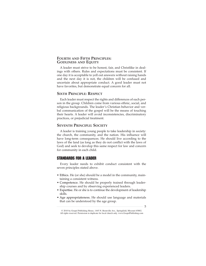#### **FOURTH AND FIFTH PRINCIPLES: GODLINESS AND EQUITY**

A leader must strive to be honest, fair, and Christlike in dealings with others. Rules and expectations must be consistent. If one day it is acceptable to yell out answers without raising hands and the next day it is not, the children will be confused and uncertain about appropriate conduct. A good leader must not have favorites, but demonstrate equal concern for all.

#### **SIXTH PRINCIPLE: RESPECT**

Each leader must respect the rights and differences of each person in the group. Children come from various ethnic, social, and religious backgrounds. The leader's Christian behavior and verbal communication of the gospel will be the means of touching their hearts. A leader will avoid inconsistencies, discriminatory practices, or prejudicial treatment.

# **SEVENTH PRINCIPLE: SOCIETY**

A leader is training young people to take leadership in society: the church, the community, and the nation. His influence will have long-term consequences. He should live according to the laws of the land (as long as they do not conflict with the laws of God) and seek to develop this same respect for law and concern for community in each child.

### STANDARDS FOR A LEADER

Every leader needs to exhibit conduct consistent with the seven principles stated above.

- Ethics. He (or she) should be a model in the community, maintaining a consistent witness.
- Competence. He should be properly trained through leadership courses and by observing experienced leaders.
- Expertise. He or she is to continue the development of leadership skills.
- Age appropriateness. He should use language and materials that can be understood by the age group.

<sup>5</sup>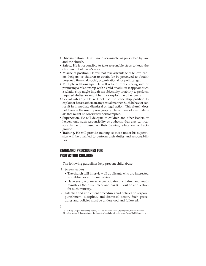- Discrimination. He will not discriminate, as prescribed by law and the church.
- Safety. He is responsible to take reasonable steps to keep the children out of harm's way.
- Misuse of position. He will not take advantage of fellow leaders, helpers, or children to obtain (or be perceived to obtain) personal, financial, social, organizational, or political gain.
- Multiple relationships. He will refrain from entering into or promising a relationship with a child or adult if it appears such a relationship might impair his objectivity or ability to perform required duties, or might harm or exploit the other party.
- Sexual integrity. He will not use the leadership position to exploit or harass others in any sexual manner. Such behavior can result in immediate dismissal or legal action. This church does not tolerate the use of pornography. He is to avoid any materials that might be considered pornographic.
- Supervision. He will delegate to children and other leaders or helpers only such responsibility or authority that they can reasonably perform based on their training, education, or background.
- Training. He will provide training so those under his supervision will be qualified to perform their duties and responsibilities.

# STANDARD PROCEDURES FOR PROTECTING CHILDREN

The following guidelines help prevent child abuse:

- 1. Screen leaders.
	- The church will interview all applicants who are interested in children or youth ministries.
	- Have every worker who participates in children and youth ministries (both volunteer and paid) fill out an application for such ministry.
- 2. Establish and implement procedures and policies on corporal punishment, discipline, and dismissal action. Such procedures and policies must be understood and followed.
- 6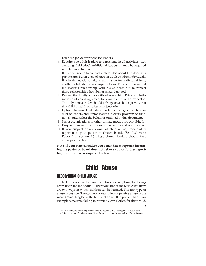- 3. Establish job descriptions for leaders.
- 4. Require two adult leaders to participate in all activities (e.g., camping, field trips). Additional leadership may be required with larger activities.
- 5. If a leader needs to counsel a child, this should be done in a private area but in view of another adult or other individuals. If a leader needs to take a child aside for individual help, another adult should accompany them. This is not to inhibit the leader's relationship with his students but to protect those relationships from being misunderstood.
- 6. Respect the dignity and sanctity of every child. Privacy in bathrooms and changing areas, for example, must be respected. The only time a leader should infringe on a child's privacy is if that child's health or safety is in jeopardy.
- 7. Uphold the same leadership standards in all groups. The conduct of leaders and junior leaders in every program or function should reflect the behavior outlined in this document.
- 8. Secret organizations or other private groups are prohibited.
- 9. Keep written records of unusual behaviors and occurrences.
- 10. If you suspect or are aware of child abuse, immediately report it to your pastor or church board. (See "When to Report" in section 2.) These church leaders should take appropriate action.

**Note: If your state considers you a mandatory reporter, informing the pastor or board does not relieve you of further reporting to authorities as required by law.**

# Child Abuse

# RECOGNIZING CHILD ABUSE

The term *abuse* can be broadly defined as "anything that brings harm upon the individual." Therefore, under the term *abuse* there are two ways in which children can be harmed. The first type of abuse is passive. The common description of passive abuse is the word *neglect*. Neglect is the failure of an adult to prevent harm. An example is parents failing to provide clean clothes for their child.

<sup>7</sup>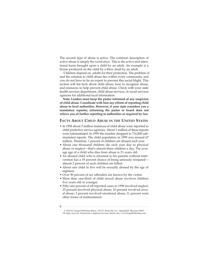The second type of abuse is active. The common description of active abuse is simply the word *abuse*. This is the active and intentional harm brought upon a child by an adult. An example is a bruise produced on the child by a blow dealt by an adult.

Children depend on adults for their protection. The problem of and the solution to child abuse lies within every community, and you do not have to be an expert to prevent this social blight. This section will list facts about child abuse, how to recognize abuse, and resources to help prevent child abuse. Check with your state health services department, child abuse services, or social services agencies for additional local information.

**Note: Leaders must keep the pastor informed of any suspicion of child abuse. Coordinate with him any efforts of reporting child abuse to local authorities. However, if your state considers you a mandatory reporter, informing the pastor or board does not relieve you of further reporting to authorities as required by law.**

#### **FACTS ABOUT CHILD ABUSE IN THE UNITED STATES**

- In 1998 about 3 million instances of child abuse were reported to child protective service agencies. About 1 million of these reports were substantiated. In 1999 the number dropped to 716,000 substantiated reports. The child population in 1999 was around 67 million. Therefore, 1 percent of children are abused each year.
- About one thousand children die each year due to physical abuse or neglect—that's almost three children a day. The average age of a child who dies from abuse is 2½ years old.
- An abused child who is returned to his parents without intervention has a 35 percent chance of being seriously reinjured almost 2 percent of such children are killed.
- About one child in five will be sexually abused by the age of eighteen.
- Over 90 percent of sex offenders are known by the victim.
- More than one-third of child sexual abuse involves children five years old or younger.
- Fifty-one percent of all reported cases in 1998 involved neglect; 25 percent involved physical abuse; 10 percent involved sexual abuse; 3 percent involved emotional abuse; 11 percent were other forms of maltreatment.

<sup>8</sup>

<sup>© 2010</sup> by Gospel Publishing House, 1445 N. Boonville Ave., Springfield, Missouri 65802. All rights reserved. Permission to duplicate for local church only. www.GospelPublishing.com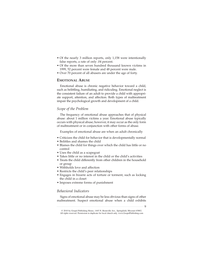- Of the nearly 3 million reports, only 1,158 were intentionally false reports, a rate of only .04 percent.
- Of the more than seven hundred thousand known victims in 1999, 52 percent were female and 48 percent were male.
- Over 70 percent of all abusers are under the age of forty.

# **EMOTIONAL ABUSE**

Emotional abuse is chronic negative behavior toward a child, such as belittling, humiliating, and ridiculing. Emotional neglect is the consistent failure of an adult to provide a child with appropriate support, attention, and affection. Both types of maltreatment impair the psychological growth and development of a child.

# *Scope of the Problem*

The frequency of emotional abuse approaches that of physical abuse: about 1 million victims a year. Emotional abuse typically occurs with physical abuse; however, it may occur as the only form of maltreatment or in conjunction with other forms of abuse.

Examples of emotional abuse are when an adult chronically

- Criticizes the child for behavior that is developmentally normal
- Belittles and shames the child
- Blames the child for things over which the child has little or no control
- Uses the child as a scapegoat
- Takes little or no interest in the child or the child's activities
- Treats the child differently from other children in the household or group
- Withholds love and affection
- Restricts the child's peer relationships
- Engages in bizarre acts of torture or torment, such as locking the child in a closet
- Imposes extreme forms of punishment

### *Behavioral Indicators*

Signs of emotional abuse may be less obvious than signs of other maltreatment. Suspect emotional abuse when a child exhibits

 $\Omega$ 

<sup>© 2010</sup> by Gospel Publishing House, 1445 N. Boonville Ave., Springfield, Missouri 65802. All rights reserved. Permission to duplicate for local church only. www.GospelPublishing.com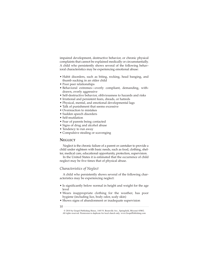impaired development, destructive behavior, or chronic physical complaints that cannot be explained medically or circumstantially. A child who persistently shows several of the following behavioral characteristics may be experiencing emotional abuse:

- Habit disorders, such as biting, rocking, head banging, and thumb sucking in an older child
- Poor peer relationships
- Behavioral extremes—overly compliant, demanding, withdrawn, overly aggressive
- Self-destructive behavior, obliviousness to hazards and risks
- Irrational and persistent fears, dreads, or hatreds
- Physical, mental, and emotional developmental lags
- Talk of punishment that seems excessive
- Overreaction to mistakes
- Sudden speech disorders
- Self-mutilation
- Fear of parents being contacted
- Signs of drug and alcohol abuse
- Tendency to run away
- Compulsive stealing or scavenging

#### **NEGLECT**

Neglect is the chronic failure of a parent or caretaker to provide a child under eighteen with basic needs, such as food, clothing, shelter, medical care, educational opportunity, protection, supervision.

In the United States it is estimated that the occurrence of child neglect may be five times that of physical abuse.

#### *Characteristics of Neglect*

A child who persistently shows several of the following characteristics may be experiencing neglect:

- Is significantly below normal in height and weight for the age level
- Wears inappropriate clothing for the weather, has poor hygiene (including lice, body odor, scaly skin)
- Shows signs of abandonment or inadequate supervision
- 10

<sup>© 2010</sup> by Gospel Publishing House, 1445 N. Boonville Ave., Springfield, Missouri 65802. All rights reserved. Permission to duplicate for local church only. www.GospelPublishing.com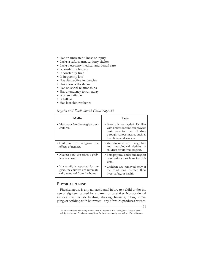- Has an untreated illness or injury
- Lacks a safe, warm, sanitary shelter
- Lacks necessary medical and dental care
- Is constantly hungry
- Is constantly tired
- Is frequently late
- Has destructive tendencies
- Has a low self-esteem
- Has no social relationships
- Has a tendency to run away
- Is often irritable
- Is listless
- Has lost skin resilience

# *Myths and Facts about Child Neglect*

| <b>Myths</b>                                                                                           | <b>Facts</b>                                                                                                                                                           |
|--------------------------------------------------------------------------------------------------------|------------------------------------------------------------------------------------------------------------------------------------------------------------------------|
| • Most poor families neglect their<br>children.                                                        | • Poverty is not neglect. Families<br>with limited income can provide<br>basic care for their children<br>through various means, such as<br>free clinics and services. |
| • Children will outgrow<br>the<br>effects of neglect.                                                  | $\bullet$ Well-documented<br>cognitive<br>and neurological deficits in<br>children result from neglect.                                                                |
| • Neglect is not as serious a prob-<br>lem as abuse.                                                   | · Both physical abuse and neglect<br>pose serious problems for chil-<br>dren.                                                                                          |
| • If a family is reported for ne-<br>glect, the children are automati-<br>cally removed from the home. | • Children are removed only if<br>the conditions threaten their<br>lives, safety, or health.                                                                           |

# **PHYSICAL ABUSE**

Physical abuse is any nonaccidental injury to a child under the age of eighteen caused by a parent or caretaker. Nonaccidental injuries may include beating, shaking, burning, biting, strangling, or scalding with hot water—any of which produces bruises,

<sup>11</sup>

<sup>© 2010</sup> by Gospel Publishing House, 1445 N. Boonville Ave., Springfield, Missouri 65802. All rights reserved. Permission to duplicate for local church only. www.GospelPublishing.com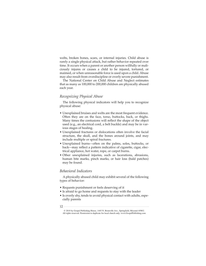welts, broken bones, scars, or internal injuries. Child abuse is rarely a single physical attack, but rather behavior repeated over time. It occurs when a parent or another person willfully or maliciously injures or causes a child to be injured, tortured, or maimed, or when unreasonable force is used upon a child. Abuse may also result from overdiscipline or overly severe punishment.

The National Center on Child Abuse and Neglect estimates that as many as 100,000 to 200,000 children are physically abused each year.

#### *Recognizing Physical Abuse*

The following physical indicators will help you to recognize physical abuse:

- Unexplained bruises and welts are the most frequent evidence. Often they are on the face, torso, buttocks, back, or thighs. Many times the contusions will reflect the shape of the object used (e.g., an electrical cord, a belt buckle) and may be in various stages of healing.
- Unexplained fractures or dislocations often involve the facial structure, the skull, and the bones around joints, and may include multiple or spiral fractures.
- Unexplained burns—often on the palms, soles, buttocks, or back—may reflect a pattern indicative of cigarette, cigar, electrical appliance, hot water, rope, or carpet burns.
- Other unexplained injuries, such as lacerations, abrasions, human bite marks, pinch marks, or hair loss (bald patches) may be found.

#### *Behavioral Indicators*

A physically abused child may exhibit several of the following types of behavior:

- Requests punishment or feels deserving of it
- Is afraid to go home and requests to stay with the leader
- Is overly shy, tends to avoid physical contact with adults, especially parents
- 12

<sup>© 2010</sup> by Gospel Publishing House, 1445 N. Boonville Ave., Springfield, Missouri 65802. All rights reserved. Permission to duplicate for local church only. www.GospelPublishing.com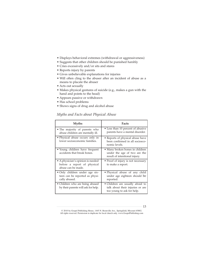- Displays behavioral extremes (withdrawal or aggressiveness)
- Suggests that other children should be punished harshly
- Cries excessively and/or sits and stares
- Reports injury by parents
- Gives unbelievable explanations for injuries
- Will often cling to the abuser after an incident of abuse as a means to placate the abuser
- Acts out sexually
- Makes physical gestures of suicide (e.g., makes a gun with the hand and points to the head)
- Appears passive or withdrawn
- Has school problems
- Shows signs of drug and alcohol abuse

# *Myths and Facts about Physical Abuse*

| Myths                                                                                  | <b>Facts</b>                                                                                       |
|----------------------------------------------------------------------------------------|----------------------------------------------------------------------------------------------------|
| • The majority of parents who<br>abuse children are mentally ill.                      | • Less than 10 percent of abusive<br>parents have a mental disorder.                               |
| • Physical abuse occurs only in<br>lower socioeconomic families.                       | • Reports of physical abuse have<br>been confirmed in all socioeco-<br>nomic levels.               |
| · Young children have frequent<br>accidents that break bones.                          | • Many broken bones in children<br>under the age of two are the<br>result of intentional injury.   |
| • A physician's opinion is needed<br>before a report of physical<br>abuse can be made. | • Proof of injury is not necessary<br>to make a report.                                            |
| • Only children under age six-<br>teen can be reported as physi-<br>cally abused.      | • Physical abuse of any child<br>under age eighteen should be<br>reported.                         |
| • Children who are being abused<br>by their parents will ask for help.                 | • Children are usually afraid to<br>talk about their injuries or are<br>too young to ask for help. |

<sup>13</sup>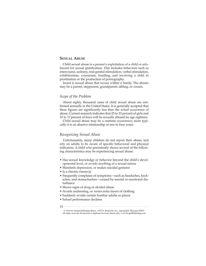## **SEXUAL ABUSE**

Child sexual abuse is a person's exploitation of a child or adolescent for sexual gratification. This includes behaviors such as intercourse, sodomy, oral-genital stimulation, verbal stimulation, exhibitionism, voyeurism, fondling, and involving a child in prostitution or the production of pornography.

Incest is sexual abuse that occurs within a family. The abuser may be a parent, stepparent, grandparent, sibling, or cousin.

#### *Scope of the Problem*

About eighty thousand cases of child sexual abuse are confirmed annually in the United States. It is generally accepted that these figures are significantly less than the actual occurrence of abuse. Current research indicates that 25 to 33 percent of girls and 10 to 17 percent of boys will be sexually abused by age eighteen.

Child sexual abuse may be a onetime occurrence; more typically it is an abusive relationship of one to four years.

#### *Recognizing Sexual Abuse*

Unfortunately, many children do not report their abuse, and rely on adults to be aware of specific behavioral and physical indicators. A child who persistently shows several of the following characteristics may be experiencing sexual abuse:

- Has sexual knowledge or behavior beyond the child's developmental level, or avoids anything of a sexual nature
- Manifests depression, or makes suicidal gestures
- Is a chronic runaway
- Frequently complains of symptoms—such as headaches, backaches, and stomachaches—caused by mental or emotional disturbance
- Shows signs of drug or alcohol abuse
- Avoids undressing, or wears extra layers of clothing
- Suddenly avoids certain familiar adults or places
- School performance declines
- 14

<sup>© 2010</sup> by Gospel Publishing House, 1445 N. Boonville Ave., Springfield, Missouri 65802. All rights reserved. Permission to duplicate for local church only. www.GospelPublishing.com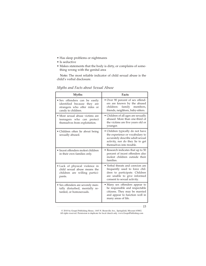- Has sleep problems or nightmares
- Is seductive
- Makes statements that the body is dirty, or complains of something wrong with the genital area

Note: The most reliable indicator of child sexual abuse is the child's verbal disclosure.

| <b>Myths</b>                                                                                                       | <b>Facts</b>                                                                                                                                                            |
|--------------------------------------------------------------------------------------------------------------------|-------------------------------------------------------------------------------------------------------------------------------------------------------------------------|
| • Sex offenders can be easily<br>identified because they are<br>strangers who offer rides or<br>candy to children. | • Over 90 percent of sex offend-<br>ers are known by the abused<br>children:<br>family members,<br>friends, neighbors, baby-sitters.                                    |
| • Most sexual abuse victims are<br>teenagers who can protect<br>themselves from exploitation.                      | • Children of all ages are sexually<br>abused. More than one-third of<br>the victims are five years old or<br>younger.                                                  |
| • Children often lie about being<br>sexually abused.                                                               | • Children typically do not have<br>the experience or vocabulary to<br>accurately describe adult sexual<br>activity, nor do they lie to get<br>themselves into trouble. |
| • Incest offenders molest children<br>in their own families only.                                                  | • Research indicates that up to 50<br>percent of incest offenders also<br>molest children outside their<br>families.                                                    |
| • Lack of physical violence in<br>child sexual abuse means the<br>children are willing partici-<br>pants.          | • Verbal threats and coercion are<br>frequently used to force chil-<br>dren to participate. Children<br>are unable to give informed<br>consent to sexual activity.      |
| • Sex offenders are severely men-<br>tally disturbed, mentally re-<br>tarded, or homosexuals.                      | • Many sex offenders appear to<br>be responsible and respectable<br>citizens. They may be married<br>and appear to function well in<br>many areas of life.              |

*Myths and Facts about Sexual Abuse*

15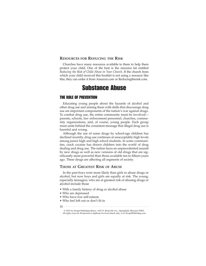#### **RESOURCES FOR REDUCING THE RISK**

Churches have many resources available to them to help them protect your child. One of the best is the resource kit entitled *Reducing the Risk of Child Abuse in Your Church*. If the church from which your child received this booklet is not using a resource like this, they can order it from Amazon.com or Reducingtherisk.com.

# Substance Abuse

## THE ROLE OF PREVENTION

Educating young people about the hazards of alcohol and other drug use and arming them with skills that discourage drug use are important components of the nation's war against drugs. To combat drug use, the entire community must be involved parents, schools, law enforcement personnel, churches, community organizations, and, of course, young people. Each group must unite behind the consistent message that illegal drug use is harmful and wrong.

Although the use of some drugs by school-age children has declined recently, drug use continues at unacceptably high levels among junior high and high school students. In some communities, crack cocaine has drawn children into the world of drug dealing and drug use. The nation faces an unprecedented assault by new drugs as well as new versions of old drugs that are significantly more powerful than those available ten to fifteen years ago. These drugs are affecting all segments of society.

#### **THOSE AT GREATEST RISK OF ABUSE**

In the past boys were more likely than girls to abuse drugs or alcohol, but now boys and girls are equally at risk. The young, especially teenagers, who are at greatest risk of abusing drugs or alcohol include those

- With a family history of drug or alcohol abuse
- Who are depressed
- Who have low self-esteem
- Who feel left out or don't fit in

<sup>© 2010</sup> by Gospel Publishing House, 1445 N. Boonville Ave., Springfield, Missouri 65802. All rights reserved. Permission to duplicate for local church only. www.GospelPublishing.com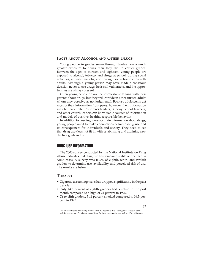#### **FACTS ABOUT ALCOHOL AND OTHER DRUGS**

Young people in grades seven through twelve face a much greater exposure to drugs than they did in earlier grades. Between the ages of thirteen and eighteen, young people are exposed to alcohol, tobacco, and drugs at school, during social activities, at part-time jobs, and through some friendships with adults. Although a young person may have made a conscious decision never to use drugs, he is still vulnerable, and the opportunities are always present.

Often young people do not feel comfortable talking with their parents about drugs, but they will confide in other trusted adults whom they perceive as nonjudgmental. Because adolescents get most of their information from peers, however, their information may be inaccurate. Children's leaders, Sunday School teachers, and other church leaders can be valuable sources of information and models of positive, healthy, responsible behavior.

In addition to needing more accurate information about drugs, young people need to make connections between drug use and its consequences for individuals and society. They need to see that drug use does not fit in with establishing and attaining productive goals in life.

# DRUG USE INFORMATION

The 2000 survey conducted by the National Institute on Drug Abuse indicates that drug use has remained stable or declined in some cases. A survey was taken of eighth, tenth, and twelfth graders to determine use, availability, and perceived risk of use. The results are below.

## **TOBACCO**

- Cigarette use among teens has dropped significantly in the past decade.
- Only 14.6 percent of eighth graders had smoked in the past month compared to a high of 21 percent in 1996.
- Of twelfth graders, 31.4 percent smoked compared to 36.5 percent in 1997.

<sup>17</sup>

<sup>© 2010</sup> by Gospel Publishing House, 1445 N. Boonville Ave., Springfield, Missouri 65802. All rights reserved. Permission to duplicate for local church only. www.GospelPublishing.com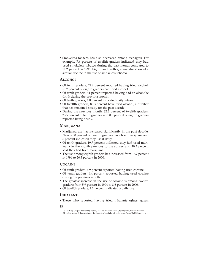• Smokeless tobacco has also decreased among teenagers. For example, 7.6 percent of twelfth graders indicated they had used smokeless tobacco during the past month compared to 12.2 percent in 1995. Eighth and tenth graders also showed a similar decline in the use of smokeless tobacco.

#### **ALCOHOL**

- Of tenth graders, 71.4 percent reported having tried alcohol; 51.7 percent of eighth graders had tried alcohol.
- Of tenth graders, 41 percent reported having had an alcoholic drink during the previous month.
- Of tenth graders, 1.8 percent indicated daily intake.
- Of twelfth graders, 80.3 percent have tried alcohol, a number that has remained steady for the past decade.
- During the previous month, 32.3 percent of twelfth graders, 23.5 percent of tenth graders, and 8.3 percent of eighth graders reported being drunk.

#### **MARIJUANA**

- Marijuana use has increased significantly in the past decade. Nearly 50 percent of twelfth graders have tried marijuana and 6 percent indicated they use it daily.
- Of tenth graders, 19.7 percent indicated they had used marijuana in the month previous to the survey and 40.3 percent said they had tried marijuana.
- The use among eighth graders has increased from 16.7 percent in 1994 to 20.3 percent in 2000.

## **COCAINE**

- Of tenth graders, 6.9 percent reported having tried cocaine.
- Of tenth graders, 4.4 percent reported having used cocaine during the previous month.
- The greatest increase in the use of cocaine is among twelfth graders: from 5.9 percent in 1994 to 8.6 percent in 2000.
- Of twelfth graders, 2.1 percent indicated a daily use.

## **INHALANTS**

- Those who reported having tried inhalants (glues, gases,
- 18

<sup>© 2010</sup> by Gospel Publishing House, 1445 N. Boonville Ave., Springfield, Missouri 65802. All rights reserved. Permission to duplicate for local church only. www.GospelPublishing.com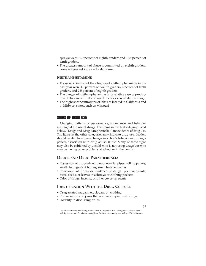sprays) were 17.9 percent of eighth graders and 16.6 percent of tenth graders.

• The greatest amount of abuse is committed by eighth graders. Some 4.5 percent indicated a daily use.

# **METHAMPHETAMINE**

- Those who indicated they had used methamphetamine in the past year were 4.3 percent of twelfth graders, 4 percent of tenth graders, and 2.5 percent of eighth graders.
- The danger of methamphetamine is its relative ease of production. Labs can be built and used in cars, even while traveling.
- The highest concentrations of labs are located in California and in Midwest states, such as Missouri.

# SIGNS OF DRUG USE

Changing patterns of performance, appearance, and behavior may signal the use of drugs. The items in the first category listed below, "Drugs and Drug Paraphernalia," are evidence of drug use. The items in the other categories may indicate drug use. Leaders should be alert to extreme changes in a child's behavior—forming a pattern associated with drug abuse. (Note: Many of these signs may also be exhibited by a child who is not using drugs but who may be having other problems at school or in the family.)

### **DRUGS AND DRUG PARAPHERNALIA**

- Possession of drug-related paraphernalia: pipes, rolling papers, small decongestant bottles, small butane torches
- Possession of drugs or evidence of drugs: peculiar plants, butts, seeds, or leaves in ashtrays or clothing pockets
- Odor of drugs, incense, or other cover-up scents

# **IDENTIFICATION WITH THE DRUG CULTURE**

- Drug-related magazines, slogans on clothing
- Conversation and jokes that are preoccupied with drugs
- Hostility in discussing drugs

<sup>© 2010</sup> by Gospel Publishing House, 1445 N. Boonville Ave., Springfield, Missouri 65802. All rights reserved. Permission to duplicate for local church only. www.GospelPublishing.com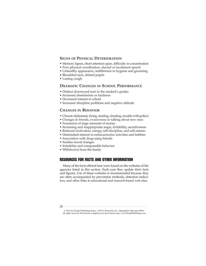## **SIGNS OF PHYSICAL DETERIORATION**

- Memory lapses, short attention span, difficulty in concentration
- Poor physical coordination, slurred or incoherent speech
- Unhealthy appearance, indifference to hygiene and grooming
- Bloodshot eyes, dilated pupils
- Lasting cough

# **DRAMATIC CHANGES IN SCHOOL PERFORMANCE**

- Distinct downward turn in the student's grades
- Increased absenteeism or tardiness
- Decreased interest in school
- Increased discipline problems and negative attitude

## **CHANGES IN BEHAVIOR**

- Chronic dishonesty (lying, stealing, cheating, trouble with police)
- Changes in friends, evasiveness in talking about new ones
- Possession of large amounts of money
- Increasing and inappropriate anger, irritability, secretiveness
- Reduced motivation, energy, self-discipline, and self-esteem
- Diminished interest in extracurricular activities and hobbies
- Association with drug-using friends
- Sudden mood changes
- Irritability and irresponsible behavior
- Withdrawal from the family

# RESOURCES FOR FACTS AND OTHER INFORMATION

Many of the facts offered here were found on the websites of the agencies listed in this section. Each year they update their facts and figures. Use of these websites is recommended because they are often accompanied by prevention methods, detection indicators, and other links to educational and research-based web sites.

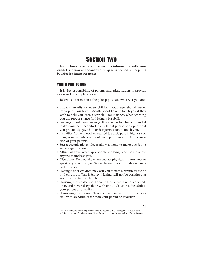# Section Two

**Instructions: Read and discuss this information with your child. Have him or her answer the quiz in section 3. Keep this booklet for future reference.**

# YOUTH PROTECTION

It is the responsibility of parents and adult leaders to provide a safe and caring place for you.

Below is information to help keep you safe wherever you are.

- Privacy: Adults or even children your age should never improperly touch you. Adults should ask to touch you if they wish to help you learn a new skill, for instance, when teaching you the proper stance for hitting a baseball.
- Feelings: Trust your feelings. If someone touches you and it makes you feel uncomfortable, tell that person to stop, even if you previously gave him or her permission to touch you.
- Activities: You will not be required to participate in high risk or dangerous activities without your permission or the permission of your parents.
- Secret organizations: Never allow anyone to make you join a secret organization.
- Attire: Always wear appropriate clothing, and never allow anyone to undress you.
- Discipline: Do not allow anyone to physically harm you or speak to you with anger. Say no to any inappropriate demands and requests.
- Hazing: Older children may ask you to pass a certain test to be in their group. This is *hazing*. Hazing will not be permitted at any function in this church.
- Housing: Never sleep in the same tent or cabin with older children, and never sleep alone with one adult, unless the adult is your parent or guardian.
- Showering/restrooms: Never shower or go into a restroom stall with an adult, other than your parent or guardian.

<sup>© 2010</sup> by Gospel Publishing House, 1445 N. Boonville Ave., Springfield, Missouri 65802. All rights reserved. Permission to duplicate for local church only. www.GospelPublishing.com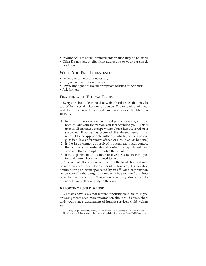- Information: Do not tell strangers information they do not need.
- Gifts: Do not accept gifts from adults you or your parents do not know.

# **WHEN YOU FEEL THREATENED**

- Be rude or unhelpful if necessary.
- Run, scream, and make a scene.
- Physically fight off any inappropriate touches or demands.
- Ask for help.

## **DEALING WITH ETHICAL ISSUES**

Everyone should learn to deal with ethical issues that may be caused by a certain situation or person. The following will suggest the proper way to deal with such issues (see also Matthew 18:15–17).

- 1. In most instances where an ethical problem occurs, you will need to talk with the person you feel offended you. (This is true in all instances except where abuse has occurred or is suspected. If abuse has occurred, the abused person must report it to the appropriate authority, which may be a parent, guardian, law enforcement officer, or a child abuse hot line.)
- 2. If the issue cannot be resolved through the initial contact, then you or your leader should contact the department head who will then attempt to resolve the situation.
- 3. If the department head cannot resolve the issue, then the pastor and church board will need to help.

This code of ethics or one adopted by the local church should be administered under their authority. However, if a violation occurs during an event sponsored by an affiliated organization, action taken by those organizations may be separate from those taken by the local church. The action taken may also restrict the offender from further activity in the event.

# **REPORTING CHILD ABUSE**

All states have laws that require reporting child abuse. If you or your parents need more information about child abuse, check with your state's department of human services, child welfare

<sup>© 2010</sup> by Gospel Publishing House, 1445 N. Boonville Ave., Springfield, Missouri 65802. All rights reserved. Permission to duplicate for local church only. www.GospelPublishing.com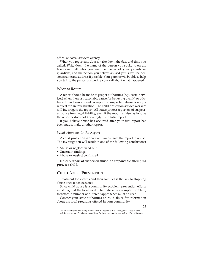office, or social services agency.

When you report any abuse, write down the date and time you called. Write down the name of the person you spoke to on the telephone. Tell who you are, the names of your parents or guardians, and the person you believe abused you. Give the person's name and address if possible. Your parents will be able to help you talk to the person answering your call about what happened.

#### *When to Report*

A report should be made to proper authorities (e.g., social services) when there is reasonable cause for believing a child or adolescent has been abused. A report of suspected abuse is only a request for an investigation. The child protection service workers will investigate the report. All states protect reporters of suspected abuse from legal liability, even if the report is false, as long as the reporter does not knowingly file a false report.

If you believe abuse has occurred after your first report has been made, make another report.

#### *What Happens to the Report*

A child protection worker will investigate the reported abuse. The investigation will result in one of the following conclusions:

- Abuse or neglect ruled out
- Uncertain findings
- Abuse or neglect confirmed

**Note: A report of suspected abuse is a responsible attempt to protect a child.**

#### **CHILD ABUSE PREVENTION**

Treatment for victims and their families is the key to stopping abuse once it has occurred.

Since child abuse is a community problem, prevention efforts must begin at the local level. Child abuse is a complex problem; therefore, a number of different approaches must be used.

Contact your state authorities on child abuse for information about the local programs offered in your community.

23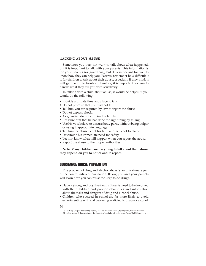#### **TALKING ABOUT ABUSE**

Sometimes you may not want to talk about what happened, but it is important to talk with your parents. This information is for your parents (or guardians), but it is important for you to know how they can help you. Parents, remember how difficult it is for children to talk about their abuse, especially if they think it will get them into trouble. Therefore, it is important for you to handle what they tell you with sensitivity.

In talking with a child about abuse, it would be helpful if you would do the following:

- Provide a private time and place to talk.
- Do not promise that you will not tell.
- Tell him you are required by law to report the abuse.
- Do not express shock.
- As guardian do not criticize the family.
- Reassure him that he has done the right thing by telling.
- Use his vocabulary to discuss body parts, without being vulgar or using inappropriate language.
- Tell him the abuse is not his fault and he is not to blame.
- Determine his immediate need for safety.
- Let him know what will happen when you report the abuse.
- Report the abuse to the proper authorities.

**Note: Many children are too young to tell about their abuse; they depend on you to notice and to report.**

# SUBSTANCE ABUSE PREVENTION

The problem of drug and alcohol abuse is an unfortunate part of the communities of our nation. Below, you and your parents will learn how you can resist the urge to do drugs.

- Have a strong and positive family. Parents need to be involved with their children and provide clear rules and information about the risks and dangers of drug and alcohol abuse.
- Children who succeed in school are far more likely to avoid experimenting with and becoming addicted to drugs or alcohol.
- 24

<sup>© 2010</sup> by Gospel Publishing House, 1445 N. Boonville Ave., Springfield, Missouri 65802. All rights reserved. Permission to duplicate for local church only. www.GospelPublishing.com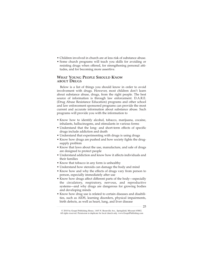- Children involved in church are at less risk of substance abuse.
- Some church programs will teach you skills for avoiding or resisting drugs when offered, for strengthening personal attitudes, and for becoming more assertive.

# **WHAT YOUNG PEOPLE SHOULD KNOW ABOUT DRUGS**

Below is a list of things you should know in order to avoid involvement with drugs. However, most children don't learn about substance abuse, drugs, from the right people. The best source of information is through law enforcement. D.A.R.E. (Drug Abuse Resistance Education) programs and other school and law enforcement sponsored programs can provide the most current and accurate information about substance abuse. Such programs will provide you with the information to

- Know how to identify alcohol, tobacco, marijuana, cocaine, inhalants, hallucinogens, and stimulants in various forms
- Understand that the long- and short-term effects of specific drugs include addiction and death
- Understand that experimenting with drugs is using drugs
- Know how drugs are pushed and how society fights the drugsupply problem
- Know that laws about the use, manufacture, and sale of drugs are designed to protect people
- Understand addiction and know how it affects individuals and their families
- Know that tobacco in any form is unhealthy
- Understand how steroids can damage the body and mind
- Know how and why the effects of drugs vary from person to person, especially immediately after use
- Know how drugs affect different parts of the body—especially the circulatory, respiratory, nervous, and reproductive systems—and why drugs are dangerous for growing bodies and developing minds
- Know how drug use is related to certain diseases and disabilities, such as AIDS, learning disorders, physical impairments, birth defects, as well as heart, lung, and liver disease

25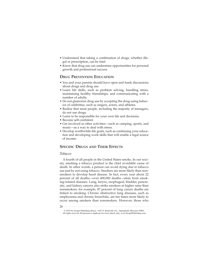- Understand that taking a combination of drugs, whether illegal or prescription, can be fatal
- Know that drug use can undermine opportunities for personal growth and professional success

# **DRUG PREVENTION EDUCATION**

- You and your parents should have open and frank discussions about drugs and drug use.
- Learn life skills, such as problem solving, handling stress, maintaining healthy friendships, and communicating with a number of adults.
- Do not glamorize drug use by accepting the drug-using behavior of celebrities, such as singers, actors, and athletes.
- Realize that most people, including the majority of teenagers, do not use drugs.
- Learn to be responsible for your own life and decisions.
- Become self-confident.
- Get involved in other activities—such as camping, sports, and music—as a way to deal with stress.
- Develop worthwhile life goals, such as continuing your education and developing work skills that will enable a legal source of income.

# **SPECIFIC DRUGS AND THEIR EFFECTS**

#### *Tobacco*

A fourth of all people in the United States smoke. In our society, smoking a tobacco product is the chief avoidable cause of death. In other words, a person can avoid dying due to tobacco use just by not using tobacco. Smokers are more likely than nonsmokers to develop heart disease. In fact, every year about 22 percent of all deaths—over 400,000 deaths—stem from smoking-related diseases. Lung, larynx, esophageal, bladder, pancreatic, and kidney cancers also strike smokers at higher rates than nonsmokers; for example, 87 percent of lung cancer deaths are linked to smoking. Chronic obstructive lung diseases, such as emphysema and chronic bronchitis, are ten times more likely to occur among smokers than nonsmokers. However, those who

<sup>© 2010</sup> by Gospel Publishing House, 1445 N. Boonville Ave., Springfield, Missouri 65802. All rights reserved. Permission to duplicate for local church only. www.GospelPublishing.com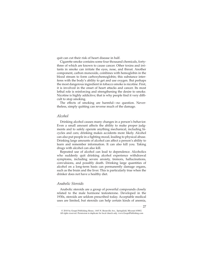quit can cut their risk of heart disease in half.

Cigarette smoke contains some four thousand chemicals, fortythree of which are known to cause cancer. Other toxins and irritants in smoke can irritate the eyes, nose, and throat. Another component, carbon monoxide, combines with hemoglobin in the blood stream to form carboxyhemoglobin; this substance interferes with the body's ability to get and use oxygen. But perhaps the most dangerous ingredient in tobacco smoke is nicotine. First, it is involved in the onset of heart attacks and cancer. Its most lethal role is reinforcing and strengthening the desire to smoke. Nicotine is highly addictive; that is why people find it very difficult to stop smoking.

The effects of smoking are harmful—no question. Nevertheless, simply quitting can reverse much of the damage.

#### *Alcohol*

Drinking alcohol causes many changes in a person's behavior. Even a small amount affects the ability to make proper judgments and to safely operate anything mechanical, including bicycles and cars; drinking makes accidents more likely. Alcohol can also put people in a fighting mood, leading to physical abuse. Drinking large amounts of alcohol can affect a person's ability to learn and remember information. It can also kill you. Taking drugs with alcohol can also kill.

Repeated use of alcohol can lead to dependence. Alcoholics who suddenly quit drinking alcohol experience withdrawal symptoms, including severe anxiety, tremors, hallucinations, convulsions, and possibly death. Drinking large quantities of alcohol on a long-term basis can permanently damage organs, such as the brain and the liver. This is particularly true when the drinker does not have a healthy diet.

### *Anabolic Steroids*

Anabolic steroids are a group of powerful compounds closely related to the male hormone testosterone. Developed in the 1930s, steroids are seldom prescribed today. Acceptable medical uses are limited, but steroids can help certain kinds of anemia,

<sup>27</sup>

<sup>© 2010</sup> by Gospel Publishing House, 1445 N. Boonville Ave., Springfield, Missouri 65802. All rights reserved. Permission to duplicate for local church only. www.GospelPublishing.com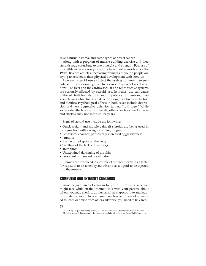severe burns, asthma, and some types of breast cancer.

Along with a program of muscle-building exercise and diet, steroids may contribute to one's weight and strength. Because of this, athletes in a variety of sports have used steroids since the 1950s. Besides athletes, increasing numbers of young people are trying to accelerate their physical development with steroids.

However, steroid users subject themselves to more than seventy side effects, ranging from liver cancer to psychological reactions. The liver and the cardiovascular and reproductive systems are seriously affected by steroid use. In males, use can cause withered testicles, sterility, and impotence. In females, irreversible masculine traits can develop along with breast reduction and sterility. Psychological effects in both sexes include depression and very aggressive behavior, termed "roid rage." While some side effects show up quickly, others, such as heart attacks and strokes, may not show up for years.

Signs of steroid use include the following:

- Quick weight and muscle gains (if steroids are being used in conjunction with a weight-training program)
- Behavioral changes, particularly increased aggressiveness
- Jaundice
- Purple or red spots on the body
- Swelling of the feet or lower legs
- Trembling
- Unexplained darkening of the skin
- Persistent unpleasant breath odor

Steroids are produced in a couple of different forms: as a tablet (or capsule) to be taken by mouth and as a liquid to be injected into the muscle.

# COMPUTER AND INTERNET CONCERNS

Another great area of concern for your future is the risk you might face while on the Internet. Talk with your parents about whom you may speak to as well as what is appropriate and inappropriate for you to look at. You have learned to avoid unwanted touches or abuse from others; likewise, you need to be careful

<sup>28</sup>

<sup>© 2010</sup> by Gospel Publishing House, 1445 N. Boonville Ave., Springfield, Missouri 65802. All rights reserved. Permission to duplicate for local church only. www.GospelPublishing.com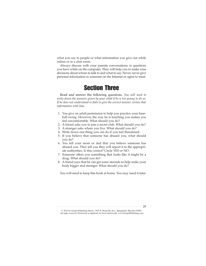what you say to people or what information you give out while online or in a chat room.

Always discuss with your parents conversations or questions you have while on the computer. They will help you to make wise decisions about whom to talk to and what to say. Never, never give personal information to someone on the Internet or agree to meet.

# Section Three

Read and answer the following questions. *You will need to write down the answers given by your child if he is too young to do so. If he does not understand or fails to give the correct answer, review that information with him.*

- 1. You give an adult permission to help you practice your baseball swing. However, the way he is touching you makes you feel uncomfortable. What should you do?
- 2. A friend asks you to join a secret club. What should you do?
- 3. A stranger asks where you live. What should you do?
- 4. Write down one thing you can do if you feel threatened.
- 5. If you believe that someone has abused you, what should you do?
- 6. You tell your mom or dad that you believe someone has abused you. They tell you they will report it to the appropriate authorities. Is this correct? Circle YES or NO.
- 7. Someone offers you something that looks like it might be a drug. What should you do?
- 8. A friend says that he can get some steroids to help make your body bigger and stronger. What should you do?

You will need to keep this book at home. You may need it later.

<sup>© 2010</sup> by Gospel Publishing House, 1445 N. Boonville Ave., Springfield, Missouri 65802. All rights reserved. Permission to duplicate for local church only. www.GospelPublishing.com